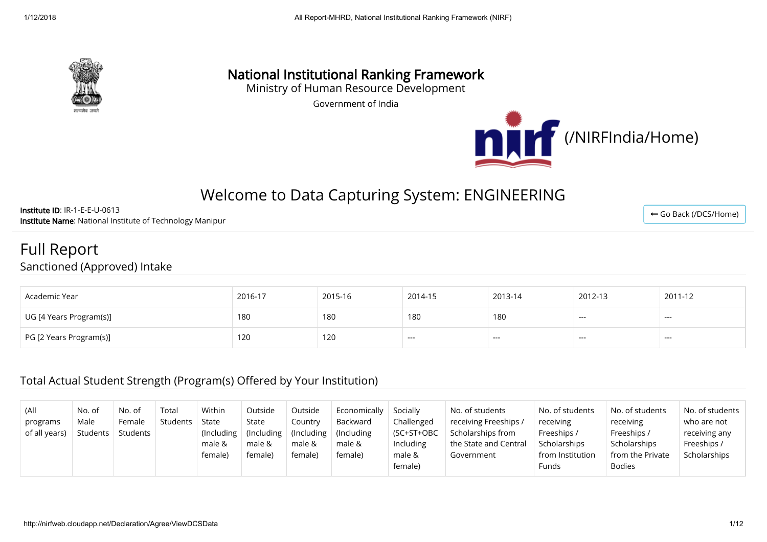

## National Institutional Ranking Framework

Ministry of Human Resource Development

Government of India



# Welcome to Data Capturing System: ENGINEERING

Institute ID: IR-1-E-E-U-0613 Institute Name: National Institute of Technology Manipur

Full Report

Sanctioned (Approved) Intake

| Academic Year           | 2016-17 | 2015-16 | 2014-15 | 2013-14 | 2012-13 | 2011-12 |
|-------------------------|---------|---------|---------|---------|---------|---------|
| UG [4 Years Program(s)] | 180     | 180     | 180     | 180     | $---$   | ---     |
| PG [2 Years Program(s)] | 120     | 120     | ----    | ---     | ----    | ---     |

#### Total Actual Student Strength (Program(s) Offered by Your Institution)

| (All<br>programs<br>of all years) | No. of<br>Male<br>Students | No. of<br>Female<br>Students | Total<br>Students | Within<br>State<br>$($ Including<br>male &<br>female) | Outside<br>State<br>$\vert$ (Including<br>male &<br>female) | Outside<br>Country<br>(Including)<br>male &<br>female) | Economically<br>Backward<br>(Including)<br>male &<br>female) | Socially<br>Challenged<br>$(SC+ST+OBC)$<br>Including<br>male &<br>female) | No. of students<br>receiving Freeships /<br>Scholarships from<br>the State and Central<br>Government | No. of students<br>receiving<br>Freeships /<br>Scholarships<br>from Institution<br>Funds | No. of students<br>receiving<br>Freeships /<br>Scholarships<br>from the Private<br><b>Bodies</b> | No. of students<br>who are not<br>receiving any<br>Freeships /<br>Scholarships |
|-----------------------------------|----------------------------|------------------------------|-------------------|-------------------------------------------------------|-------------------------------------------------------------|--------------------------------------------------------|--------------------------------------------------------------|---------------------------------------------------------------------------|------------------------------------------------------------------------------------------------------|------------------------------------------------------------------------------------------|--------------------------------------------------------------------------------------------------|--------------------------------------------------------------------------------|
|-----------------------------------|----------------------------|------------------------------|-------------------|-------------------------------------------------------|-------------------------------------------------------------|--------------------------------------------------------|--------------------------------------------------------------|---------------------------------------------------------------------------|------------------------------------------------------------------------------------------------------|------------------------------------------------------------------------------------------|--------------------------------------------------------------------------------------------------|--------------------------------------------------------------------------------|

← [Go Back \(/DCS/Home\)](http://nirfweb.cloudapp.net/DCS/Home)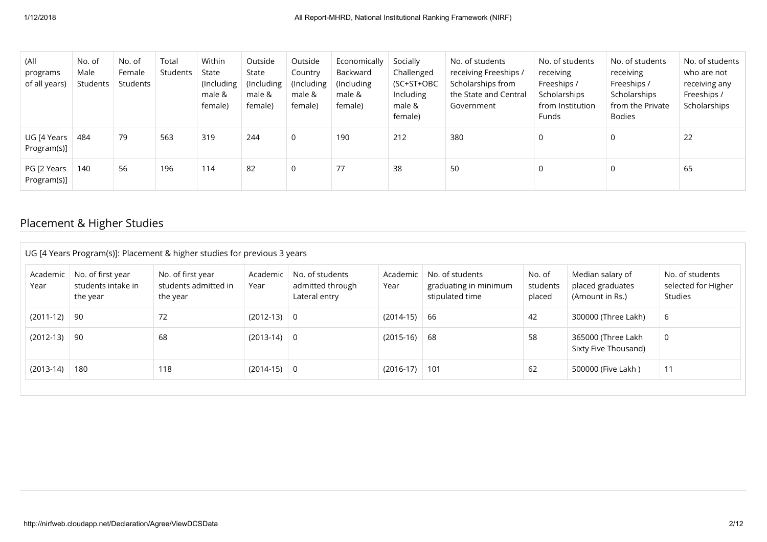| (All<br>programs<br>of all years) | No. of<br>Male<br>Students | No. of<br>Female<br>Students | Total<br>Students | Within<br>State<br>(Including<br>male &<br>female) | Outside<br>State<br>(Including)<br>male &<br>female) | Outside<br>Country<br>(Including<br>male &<br>female) | Economically<br>Backward<br>(Including)<br>male &<br>female) | Socially<br>Challenged<br>(SC+ST+OBC<br>Including<br>male &<br>female) | No. of students<br>receiving Freeships /<br>Scholarships from<br>the State and Central<br>Government | No. of students<br>receiving<br>Freeships /<br>Scholarships<br>from Institution<br>Funds | No. of students<br>receiving<br>Freeships /<br>Scholarships<br>from the Private<br>Bodies | No. of students<br>who are not<br>receiving any<br>Freeships /<br>Scholarships |
|-----------------------------------|----------------------------|------------------------------|-------------------|----------------------------------------------------|------------------------------------------------------|-------------------------------------------------------|--------------------------------------------------------------|------------------------------------------------------------------------|------------------------------------------------------------------------------------------------------|------------------------------------------------------------------------------------------|-------------------------------------------------------------------------------------------|--------------------------------------------------------------------------------|
| UG [4 Years<br>Program(s)]        | 484                        | 79                           | 563               | 319                                                | 244                                                  | $\mathbf 0$                                           | 190                                                          | 212                                                                    | 380                                                                                                  | 0                                                                                        | 0                                                                                         | 22                                                                             |
| PG [2 Years<br>Program(s)]        | 140                        | 56                           | 196               | 114                                                | 82                                                   | $\Omega$                                              | 77                                                           | 38                                                                     | 50                                                                                                   | 0                                                                                        | $\Omega$                                                                                  | 65                                                                             |

## Placement & Higher Studies

| Academic<br>Year | No. of first year<br>students intake in<br>the year | No. of first year<br>students admitted in<br>the year | Academic<br>Year | No. of students<br>admitted through<br>Lateral entry | Academic<br>Year | No. of students<br>graduating in minimum<br>stipulated time | No. of<br>students<br>placed | Median salary of<br>placed graduates<br>(Amount in Rs.) | No. of students<br>selected for Higher<br>Studies |
|------------------|-----------------------------------------------------|-------------------------------------------------------|------------------|------------------------------------------------------|------------------|-------------------------------------------------------------|------------------------------|---------------------------------------------------------|---------------------------------------------------|
| $(2011-12)$      | 90                                                  | 72                                                    | $(2012-13)$ 0    |                                                      | $(2014-15)$      | 66                                                          | 42                           | 300000 (Three Lakh)                                     | 6                                                 |
| $(2012-13)$      | 90                                                  | 68                                                    | $(2013-14)$ 0    |                                                      | $(2015-16)$      | 68                                                          | 58                           | 365000 (Three Lakh<br>Sixty Five Thousand)              | 0                                                 |
| $(2013-14)$      | 180                                                 | 118                                                   | $(2014-15)$ 0    |                                                      | $(2016-17)$ 101  |                                                             | 62                           | 500000 (Five Lakh )                                     | 11                                                |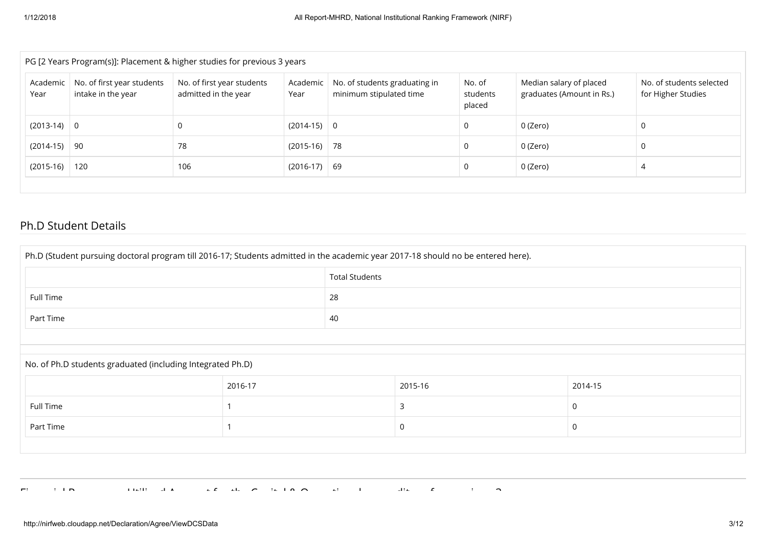| PG [2 Years Program(s)]: Placement & higher studies for previous 3 years |                                                  |                                                    |                  |                                                          |                              |                                                      |                                                |  |
|--------------------------------------------------------------------------|--------------------------------------------------|----------------------------------------------------|------------------|----------------------------------------------------------|------------------------------|------------------------------------------------------|------------------------------------------------|--|
| Academic<br>Year                                                         | No. of first year students<br>intake in the year | No. of first year students<br>admitted in the year | Academic<br>Year | No. of students graduating in<br>minimum stipulated time | No. of<br>students<br>placed | Median salary of placed<br>graduates (Amount in Rs.) | No. of students selected<br>for Higher Studies |  |
| $(2013-14)$                                                              | $\overline{0}$                                   |                                                    | $(2014-15)$ 0    |                                                          | 0                            | 0 (Zero)                                             |                                                |  |
| $(2014-15)$                                                              | -90                                              | 78                                                 | $(2015-16)$ 78   |                                                          | 0                            | 0 (Zero)                                             |                                                |  |
| $(2015-16)$                                                              | 120                                              | 106                                                | $(2016-17)$ 69   |                                                          | 0                            | 0 (Zero)                                             |                                                |  |

#### Ph.D Student Details

| Ph.D (Student pursuing doctoral program till 2016-17; Students admitted in the academic year 2017-18 should no be entered here). |         |                       |         |             |  |  |
|----------------------------------------------------------------------------------------------------------------------------------|---------|-----------------------|---------|-------------|--|--|
|                                                                                                                                  |         | <b>Total Students</b> |         |             |  |  |
| 28<br>Full Time                                                                                                                  |         |                       |         |             |  |  |
| Part Time                                                                                                                        | 40      |                       |         |             |  |  |
|                                                                                                                                  |         |                       |         |             |  |  |
| No. of Ph.D students graduated (including Integrated Ph.D)                                                                       |         |                       |         |             |  |  |
|                                                                                                                                  | 2016-17 |                       | 2015-16 | 2014-15     |  |  |
| Full Time                                                                                                                        |         |                       | 3       | $\mathbf 0$ |  |  |
| Part Time                                                                                                                        |         |                       | 0       | 0           |  |  |
|                                                                                                                                  |         |                       |         |             |  |  |
|                                                                                                                                  |         |                       |         |             |  |  |

Finish distribution of the C indicate  $\overline{C}$  of the C indicate  $\overline{C}$  is a top of  $\overline{C}$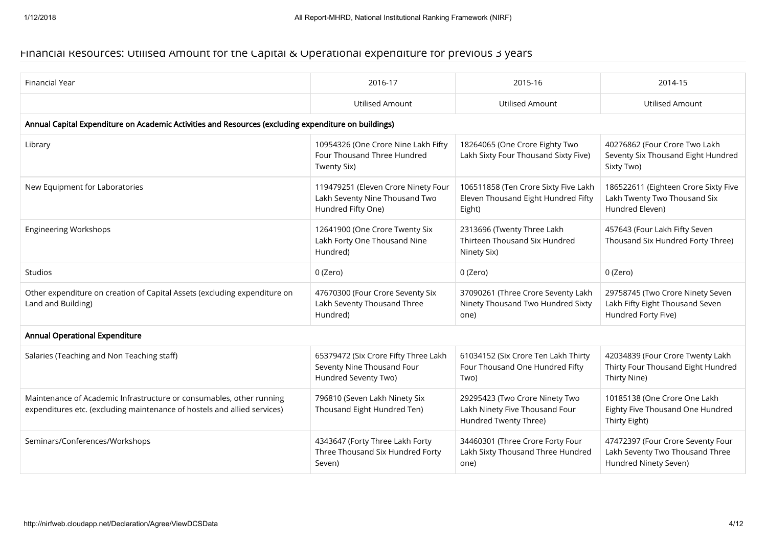#### Financial Resources: Utilised Amount for the Capital & Operational expenditure for previous 3 years

| Financial Year                                                                                                                                   | 2016-17                                                                                     | 2015-16                                                                                   | 2014-15                                                                                       |
|--------------------------------------------------------------------------------------------------------------------------------------------------|---------------------------------------------------------------------------------------------|-------------------------------------------------------------------------------------------|-----------------------------------------------------------------------------------------------|
|                                                                                                                                                  | <b>Utilised Amount</b>                                                                      | <b>Utilised Amount</b>                                                                    | <b>Utilised Amount</b>                                                                        |
| Annual Capital Expenditure on Academic Activities and Resources (excluding expenditure on buildings)                                             |                                                                                             |                                                                                           |                                                                                               |
| Library                                                                                                                                          | 10954326 (One Crore Nine Lakh Fifty<br>Four Thousand Three Hundred<br>Twenty Six)           | 18264065 (One Crore Eighty Two<br>Lakh Sixty Four Thousand Sixty Five)                    | 40276862 (Four Crore Two Lakh<br>Seventy Six Thousand Eight Hundred<br>Sixty Two)             |
| New Equipment for Laboratories                                                                                                                   | 119479251 (Eleven Crore Ninety Four<br>Lakh Seventy Nine Thousand Two<br>Hundred Fifty One) | 106511858 (Ten Crore Sixty Five Lakh<br>Eleven Thousand Eight Hundred Fifty<br>Eight)     | 186522611 (Eighteen Crore Sixty Five<br>Lakh Twenty Two Thousand Six<br>Hundred Eleven)       |
| <b>Engineering Workshops</b>                                                                                                                     | 12641900 (One Crore Twenty Six<br>Lakh Forty One Thousand Nine<br>Hundred)                  | 2313696 (Twenty Three Lakh<br>Thirteen Thousand Six Hundred<br>Ninety Six)                | 457643 (Four Lakh Fifty Seven<br>Thousand Six Hundred Forty Three)                            |
| <b>Studios</b>                                                                                                                                   | 0 (Zero)                                                                                    | 0 (Zero)                                                                                  | 0 (Zero)                                                                                      |
| Other expenditure on creation of Capital Assets (excluding expenditure on<br>Land and Building)                                                  | 47670300 (Four Crore Seventy Six<br>Lakh Seventy Thousand Three<br>Hundred)                 | 37090261 (Three Crore Seventy Lakh<br>Ninety Thousand Two Hundred Sixty<br>one)           | 29758745 (Two Crore Ninety Seven<br>Lakh Fifty Eight Thousand Seven<br>Hundred Forty Five)    |
| Annual Operational Expenditure                                                                                                                   |                                                                                             |                                                                                           |                                                                                               |
| Salaries (Teaching and Non Teaching staff)                                                                                                       | 65379472 (Six Crore Fifty Three Lakh<br>Seventy Nine Thousand Four<br>Hundred Seventy Two)  | 61034152 (Six Crore Ten Lakh Thirty<br>Four Thousand One Hundred Fifty<br>Two)            | 42034839 (Four Crore Twenty Lakh<br>Thirty Four Thousand Eight Hundred<br>Thirty Nine)        |
| Maintenance of Academic Infrastructure or consumables, other running<br>expenditures etc. (excluding maintenance of hostels and allied services) | 796810 (Seven Lakh Ninety Six<br>Thousand Eight Hundred Ten)                                | 29295423 (Two Crore Ninety Two<br>Lakh Ninety Five Thousand Four<br>Hundred Twenty Three) | 10185138 (One Crore One Lakh<br>Eighty Five Thousand One Hundred<br>Thirty Eight)             |
| Seminars/Conferences/Workshops                                                                                                                   | 4343647 (Forty Three Lakh Forty<br>Three Thousand Six Hundred Forty<br>Seven)               | 34460301 (Three Crore Forty Four<br>Lakh Sixty Thousand Three Hundred<br>one)             | 47472397 (Four Crore Seventy Four<br>Lakh Seventy Two Thousand Three<br>Hundred Ninety Seven) |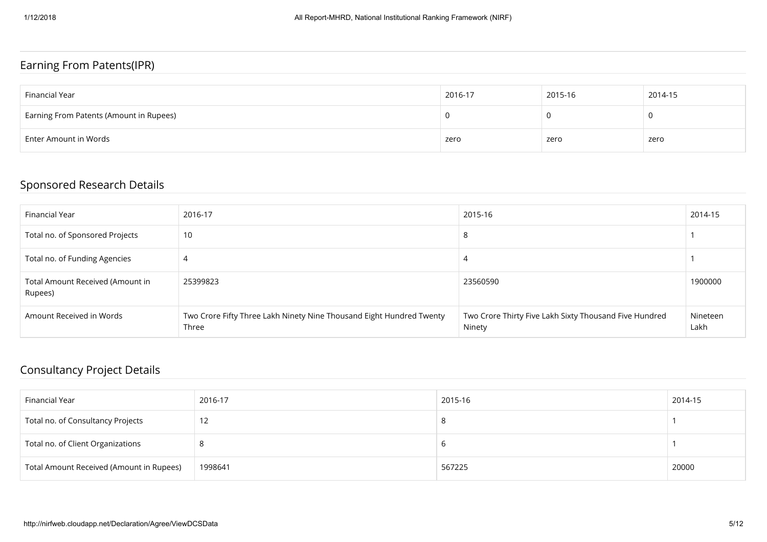#### Earning From Patents(IPR)

| Financial Year                          | 2016-17 | 2015-16 | 2014-15 |
|-----------------------------------------|---------|---------|---------|
| Earning From Patents (Amount in Rupees) |         |         |         |
| Enter Amount in Words                   | zero    | zero    | zero    |

#### Sponsored Research Details

| Financial Year                              | 2016-17                                                                       | 2015-16                                                          | 2014-15          |
|---------------------------------------------|-------------------------------------------------------------------------------|------------------------------------------------------------------|------------------|
| Total no. of Sponsored Projects             | 10                                                                            | $\circ$                                                          |                  |
| Total no. of Funding Agencies               | 4                                                                             |                                                                  |                  |
| Total Amount Received (Amount in<br>Rupees) | 25399823                                                                      | 23560590                                                         | 1900000          |
| Amount Received in Words                    | Two Crore Fifty Three Lakh Ninety Nine Thousand Eight Hundred Twenty<br>Three | Two Crore Thirty Five Lakh Sixty Thousand Five Hundred<br>Ninety | Nineteen<br>Lakh |

### Consultancy Project Details

| Financial Year                           | 2016-17 | 2015-16 | 2014-15 |
|------------------------------------------|---------|---------|---------|
| Total no. of Consultancy Projects        |         |         |         |
| Total no. of Client Organizations        | -8      |         |         |
| Total Amount Received (Amount in Rupees) | 1998641 | 567225  | 20000   |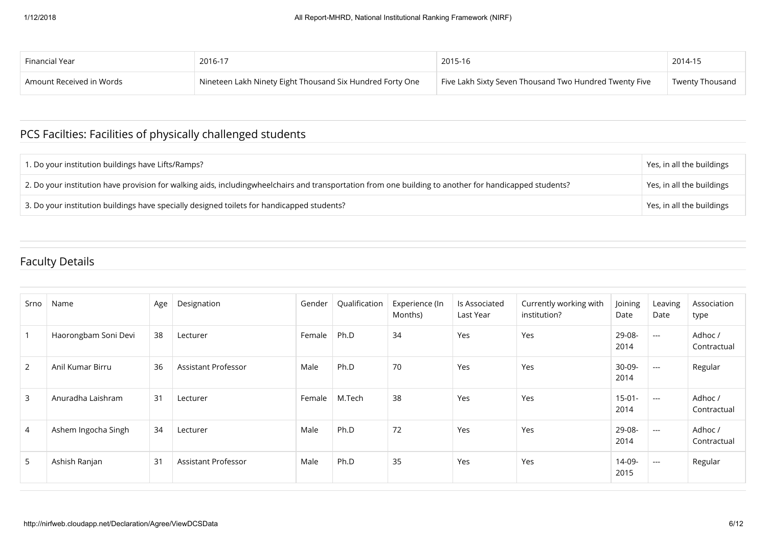| Financial Year           | 2016-17                                                   | 2015-16                                                | 2014-15         |
|--------------------------|-----------------------------------------------------------|--------------------------------------------------------|-----------------|
| Amount Received in Words | Nineteen Lakh Ninety Eight Thousand Six Hundred Forty One | Five Lakh Sixty Seven Thousand Two Hundred Twenty Five | Twenty Thousand |

### PCS Facilties: Facilities of physically challenged students

| 1. Do your institution buildings have Lifts/Ramps?                                                                                                     | Yes, in all the buildings |
|--------------------------------------------------------------------------------------------------------------------------------------------------------|---------------------------|
| 2. Do your institution have provision for walking aids, includingwheelchairs and transportation from one building to another for handicapped students? | Yes, in all the buildings |
| 3. Do your institution buildings have specially designed toilets for handicapped students?                                                             | Yes, in all the buildings |

### Faculty Details

| Srno | Name                 | Age | Designation         | Gender | Qualification | Experience (In<br>Months) | Is Associated<br>Last Year | Currently working with<br>institution? | Joining<br>Date  | Leaving<br>Date                        | Association<br>type    |
|------|----------------------|-----|---------------------|--------|---------------|---------------------------|----------------------------|----------------------------------------|------------------|----------------------------------------|------------------------|
|      | Haorongbam Soni Devi | 38  | Lecturer            | Female | Ph.D          | 34                        | Yes                        | Yes                                    | 29-08-<br>2014   | $---$                                  | Adhoc /<br>Contractual |
| 2    | Anil Kumar Birru     | 36  | Assistant Professor | Male   | Ph.D          | 70                        | Yes                        | Yes                                    | 30-09-<br>2014   | $-$                                    | Regular                |
| 3    | Anuradha Laishram    | 31  | Lecturer            | Female | M.Tech        | 38                        | Yes                        | Yes                                    | $15-01-$<br>2014 | $-$                                    | Adhoc /<br>Contractual |
| 4    | Ashem Ingocha Singh  | 34  | Lecturer            | Male   | Ph.D          | 72                        | Yes                        | Yes                                    | 29-08-<br>2014   | $---$                                  | Adhoc /<br>Contractual |
| 5    | Ashish Ranjan        | 31  | Assistant Professor | Male   | Ph.D          | 35                        | Yes                        | Yes                                    | 14-09-<br>2015   | $\hspace{0.1em} \ldots \hspace{0.1em}$ | Regular                |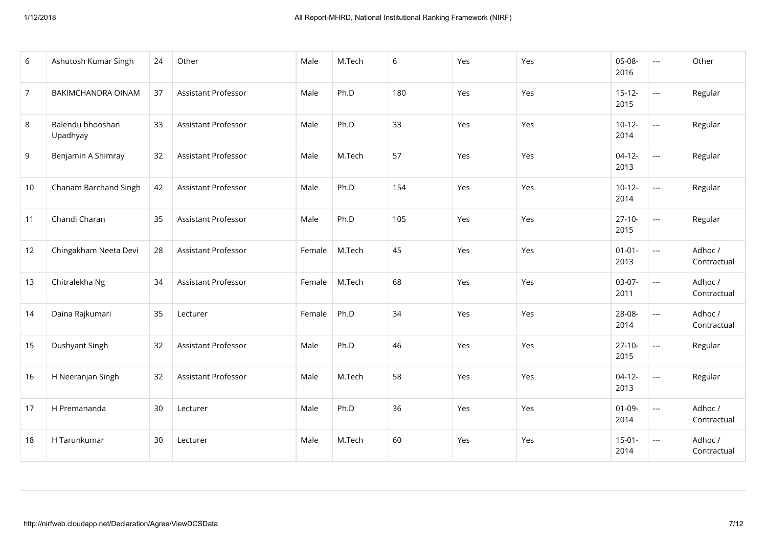| 6              | Ashutosh Kumar Singh         | 24 | Other               | Male   | M.Tech | 6   | Yes | Yes | 05-08-<br>2016      | $\overline{a}$           | Other                  |
|----------------|------------------------------|----|---------------------|--------|--------|-----|-----|-----|---------------------|--------------------------|------------------------|
| $\overline{7}$ | BAKIMCHANDRA OINAM           | 37 | Assistant Professor | Male   | Ph.D   | 180 | Yes | Yes | $15 - 12 -$<br>2015 | $\overline{\phantom{a}}$ | Regular                |
| 8              | Balendu bhooshan<br>Upadhyay | 33 | Assistant Professor | Male   | Ph.D   | 33  | Yes | Yes | $10-12-$<br>2014    | $\overline{\phantom{a}}$ | Regular                |
| 9              | Benjamin A Shimray           | 32 | Assistant Professor | Male   | M.Tech | 57  | Yes | Yes | $04-12-$<br>2013    | $\overline{\phantom{a}}$ | Regular                |
| 10             | Chanam Barchand Singh        | 42 | Assistant Professor | Male   | Ph.D   | 154 | Yes | Yes | $10 - 12 -$<br>2014 | $\overline{\phantom{a}}$ | Regular                |
| 11             | Chandi Charan                | 35 | Assistant Professor | Male   | Ph.D   | 105 | Yes | Yes | $27-10-$<br>2015    | $\overline{a}$           | Regular                |
| 12             | Chingakham Neeta Devi        | 28 | Assistant Professor | Female | M.Tech | 45  | Yes | Yes | $01 - 01 -$<br>2013 | $\overline{a}$           | Adhoc /<br>Contractual |
| 13             | Chitralekha Ng               | 34 | Assistant Professor | Female | M.Tech | 68  | Yes | Yes | 03-07-<br>2011      | $\overline{a}$           | Adhoc /<br>Contractual |
| 14             | Daina Rajkumari              | 35 | Lecturer            | Female | Ph.D   | 34  | Yes | Yes | 28-08-<br>2014      | $\overline{a}$           | Adhoc /<br>Contractual |
| 15             | Dushyant Singh               | 32 | Assistant Professor | Male   | Ph.D   | 46  | Yes | Yes | $27-10-$<br>2015    | $\overline{\phantom{a}}$ | Regular                |
| 16             | H Neeranjan Singh            | 32 | Assistant Professor | Male   | M.Tech | 58  | Yes | Yes | $04-12-$<br>2013    | $\overline{a}$           | Regular                |
| 17             | H Premananda                 | 30 | Lecturer            | Male   | Ph.D   | 36  | Yes | Yes | $01-09-$<br>2014    | $\overline{a}$           | Adhoc /<br>Contractual |
| 18             | H Tarunkumar                 | 30 | Lecturer            | Male   | M.Tech | 60  | Yes | Yes | $15-01-$<br>2014    | $\overline{a}$           | Adhoc /<br>Contractual |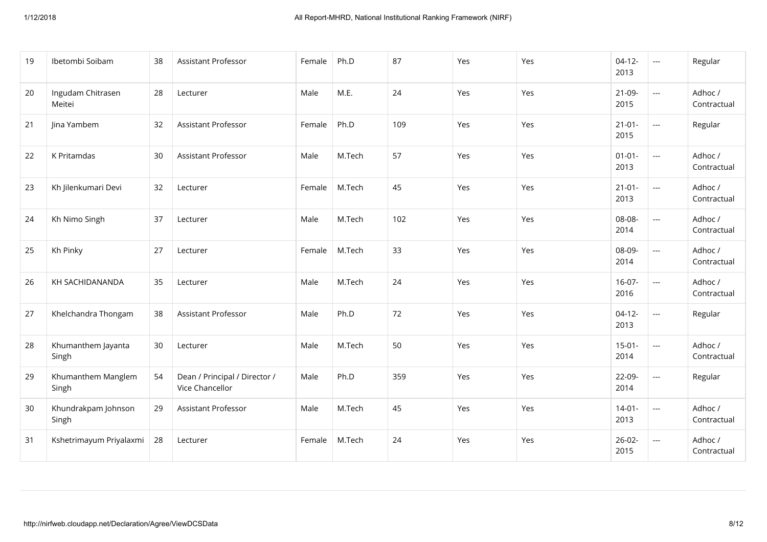| 19 | Ibetombi Soibam              | 38 | Assistant Professor                              | Female | Ph.D   | 87  | Yes | Yes | $04-12-$<br>2013    | $\scriptstyle \cdots$ | Regular                |
|----|------------------------------|----|--------------------------------------------------|--------|--------|-----|-----|-----|---------------------|-----------------------|------------------------|
| 20 | Ingudam Chitrasen<br>Meitei  | 28 | Lecturer                                         | Male   | M.E.   | 24  | Yes | Yes | $21-09-$<br>2015    | $\overline{a}$        | Adhoc /<br>Contractual |
| 21 | Jina Yambem                  | 32 | Assistant Professor                              | Female | Ph.D   | 109 | Yes | Yes | $21-01-$<br>2015    | $\overline{a}$        | Regular                |
| 22 | K Pritamdas                  | 30 | <b>Assistant Professor</b>                       | Male   | M.Tech | 57  | Yes | Yes | $01 - 01 -$<br>2013 | $\overline{a}$        | Adhoc /<br>Contractual |
| 23 | Kh Jilenkumari Devi          | 32 | Lecturer                                         | Female | M.Tech | 45  | Yes | Yes | $21 - 01 -$<br>2013 | $\overline{a}$        | Adhoc /<br>Contractual |
| 24 | Kh Nimo Singh                | 37 | Lecturer                                         | Male   | M.Tech | 102 | Yes | Yes | 08-08-<br>2014      | $\overline{a}$        | Adhoc /<br>Contractual |
| 25 | Kh Pinky                     | 27 | Lecturer                                         | Female | M.Tech | 33  | Yes | Yes | 08-09-<br>2014      | $\overline{a}$        | Adhoc /<br>Contractual |
| 26 | KH SACHIDANANDA              | 35 | Lecturer                                         | Male   | M.Tech | 24  | Yes | Yes | $16-07-$<br>2016    | $\overline{a}$        | Adhoc /<br>Contractual |
| 27 | Khelchandra Thongam          | 38 | Assistant Professor                              | Male   | Ph.D   | 72  | Yes | Yes | $04-12-$<br>2013    | $\overline{a}$        | Regular                |
| 28 | Khumanthem Jayanta<br>Singh  | 30 | Lecturer                                         | Male   | M.Tech | 50  | Yes | Yes | $15-01-$<br>2014    | $\overline{a}$        | Adhoc /<br>Contractual |
| 29 | Khumanthem Manglem<br>Singh  | 54 | Dean / Principal / Director /<br>Vice Chancellor | Male   | Ph.D   | 359 | Yes | Yes | 22-09-<br>2014      | $\overline{a}$        | Regular                |
| 30 | Khundrakpam Johnson<br>Singh | 29 | Assistant Professor                              | Male   | M.Tech | 45  | Yes | Yes | $14 - 01 -$<br>2013 | $\scriptstyle \cdots$ | Adhoc /<br>Contractual |
| 31 | Kshetrimayum Priyalaxmi      | 28 | Lecturer                                         | Female | M.Tech | 24  | Yes | Yes | $26-02-$<br>2015    | $\overline{a}$        | Adhoc /<br>Contractual |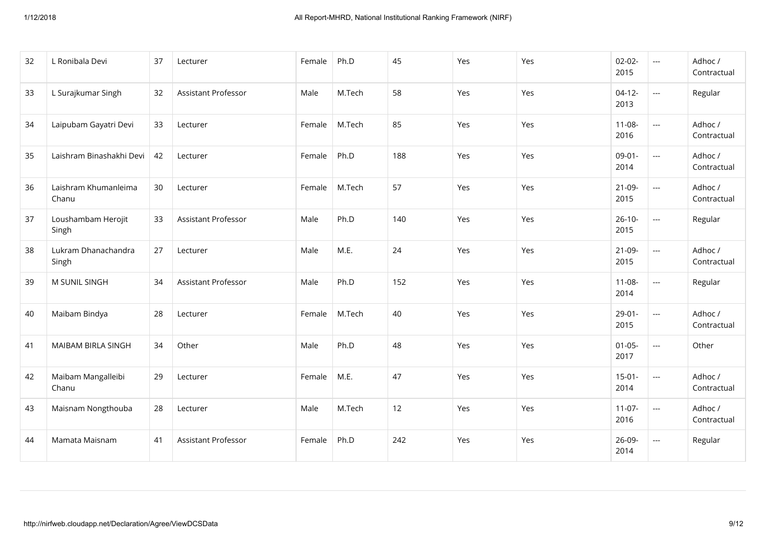| 32 | L Ronibala Devi               | 37 | Lecturer                   | Female | Ph.D   | 45  | Yes | Yes | $02 - 02 -$<br>2015 | $\scriptstyle\cdots$     | Adhoc /<br>Contractual |
|----|-------------------------------|----|----------------------------|--------|--------|-----|-----|-----|---------------------|--------------------------|------------------------|
| 33 | L Surajkumar Singh            | 32 | <b>Assistant Professor</b> | Male   | M.Tech | 58  | Yes | Yes | $04-12-$<br>2013    | $\overline{\phantom{a}}$ | Regular                |
| 34 | Laipubam Gayatri Devi         | 33 | Lecturer                   | Female | M.Tech | 85  | Yes | Yes | $11-08-$<br>2016    | $\scriptstyle\cdots$     | Adhoc /<br>Contractual |
| 35 | Laishram Binashakhi Devi      | 42 | Lecturer                   | Female | Ph.D   | 188 | Yes | Yes | $09-01-$<br>2014    | $\scriptstyle \cdots$    | Adhoc /<br>Contractual |
| 36 | Laishram Khumanleima<br>Chanu | 30 | Lecturer                   | Female | M.Tech | 57  | Yes | Yes | $21-09-$<br>2015    | $\overline{\phantom{a}}$ | Adhoc /<br>Contractual |
| 37 | Loushambam Herojit<br>Singh   | 33 | <b>Assistant Professor</b> | Male   | Ph.D   | 140 | Yes | Yes | $26-10-$<br>2015    | ---                      | Regular                |
| 38 | Lukram Dhanachandra<br>Singh  | 27 | Lecturer                   | Male   | M.E.   | 24  | Yes | Yes | 21-09-<br>2015      | $\overline{a}$           | Adhoc /<br>Contractual |
| 39 | M SUNIL SINGH                 | 34 | Assistant Professor        | Male   | Ph.D   | 152 | Yes | Yes | $11-08-$<br>2014    | $\overline{a}$           | Regular                |
| 40 | Maibam Bindya                 | 28 | Lecturer                   | Female | M.Tech | 40  | Yes | Yes | $29-01-$<br>2015    | $\overline{a}$           | Adhoc /<br>Contractual |
| 41 | MAIBAM BIRLA SINGH            | 34 | Other                      | Male   | Ph.D   | 48  | Yes | Yes | $01 - 05 -$<br>2017 | ---                      | Other                  |
| 42 | Maibam Mangalleibi<br>Chanu   | 29 | Lecturer                   | Female | M.E.   | 47  | Yes | Yes | $15-01-$<br>2014    | $\overline{a}$           | Adhoc /<br>Contractual |
| 43 | Maisnam Nongthouba            | 28 | Lecturer                   | Male   | M.Tech | 12  | Yes | Yes | $11-07-$<br>2016    | $\scriptstyle{\cdots}$   | Adhoc /<br>Contractual |
| 44 | Mamata Maisnam                | 41 | Assistant Professor        | Female | Ph.D   | 242 | Yes | Yes | 26-09-<br>2014      | $\overline{\phantom{a}}$ | Regular                |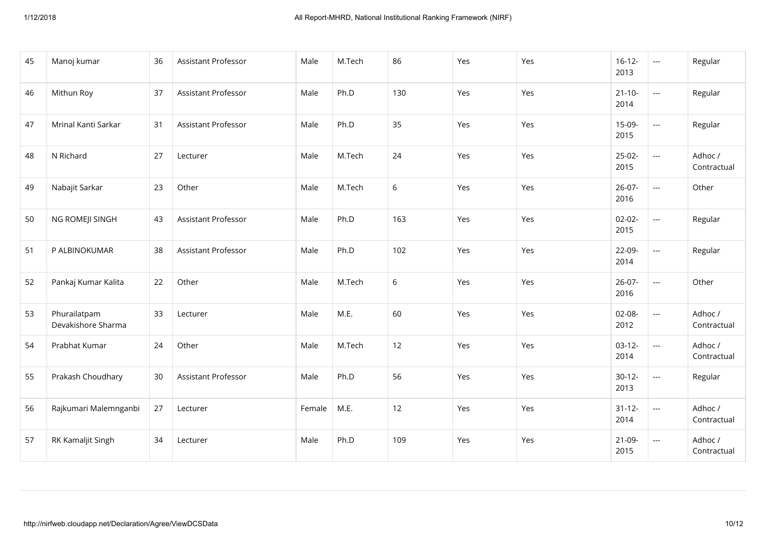| 45 | Manoj kumar                        | 36 | Assistant Professor        | Male   | M.Tech | 86          | Yes | Yes | $16-12-$<br>2013    | $\overline{\phantom{a}}$    | Regular                |
|----|------------------------------------|----|----------------------------|--------|--------|-------------|-----|-----|---------------------|-----------------------------|------------------------|
| 46 | Mithun Roy                         | 37 | <b>Assistant Professor</b> | Male   | Ph.D   | 130         | Yes | Yes | $21 - 10 -$<br>2014 | $\mathcal{L}_{\mathcal{P}}$ | Regular                |
| 47 | Mrinal Kanti Sarkar                | 31 | Assistant Professor        | Male   | Ph.D   | 35          | Yes | Yes | 15-09-<br>2015      | $\overline{\phantom{a}}$    | Regular                |
| 48 | N Richard                          | 27 | Lecturer                   | Male   | M.Tech | 24          | Yes | Yes | $25-02-$<br>2015    | $\overline{a}$              | Adhoc /<br>Contractual |
| 49 | Nabajit Sarkar                     | 23 | Other                      | Male   | M.Tech | 6           | Yes | Yes | $26-07-$<br>2016    | $\overline{a}$              | Other                  |
| 50 | NG ROMEJI SINGH                    | 43 | <b>Assistant Professor</b> | Male   | Ph.D   | 163         | Yes | Yes | $02 - 02 -$<br>2015 | $\overline{a}$              | Regular                |
| 51 | P ALBINOKUMAR                      | 38 | Assistant Professor        | Male   | Ph.D   | 102         | Yes | Yes | 22-09-<br>2014      | $\overline{a}$              | Regular                |
| 52 | Pankaj Kumar Kalita                | 22 | Other                      | Male   | M.Tech | $\,$ 6 $\,$ | Yes | Yes | $26 - 07 -$<br>2016 | $\overline{a}$              | Other                  |
| 53 | Phurailatpam<br>Devakishore Sharma | 33 | Lecturer                   | Male   | M.E.   | 60          | Yes | Yes | 02-08-<br>2012      | $\overline{a}$              | Adhoc /<br>Contractual |
| 54 | Prabhat Kumar                      | 24 | Other                      | Male   | M.Tech | 12          | Yes | Yes | $03-12-$<br>2014    | $\overline{\phantom{a}}$    | Adhoc /<br>Contractual |
| 55 | Prakash Choudhary                  | 30 | Assistant Professor        | Male   | Ph.D   | 56          | Yes | Yes | $30-12-$<br>2013    | $\overline{\phantom{a}}$    | Regular                |
| 56 | Rajkumari Malemnganbi              | 27 | Lecturer                   | Female | M.E.   | 12          | Yes | Yes | $31 - 12 -$<br>2014 | $\overline{\phantom{a}}$    | Adhoc /<br>Contractual |
| 57 | RK Kamaljit Singh                  | 34 | Lecturer                   | Male   | Ph.D   | 109         | Yes | Yes | $21-09-$<br>2015    | $\scriptstyle \cdots$       | Adhoc /<br>Contractual |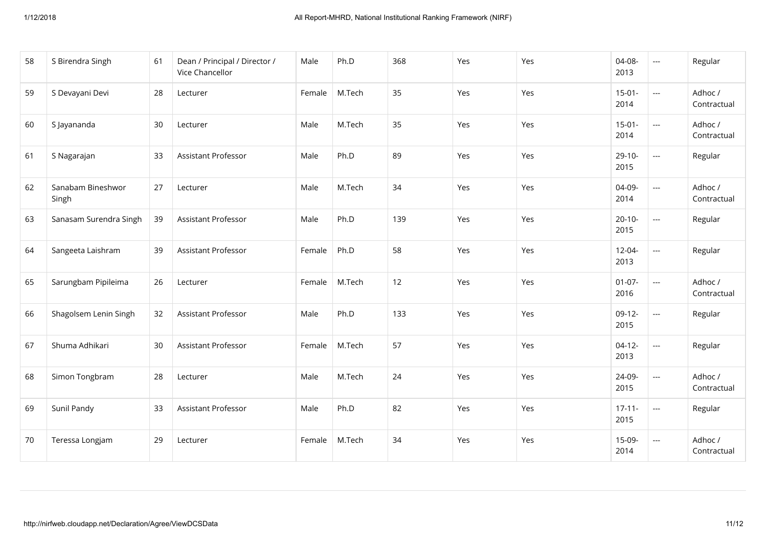| 58 | S Birendra Singh           | 61 | Dean / Principal / Director /<br>Vice Chancellor | Male   | Ph.D   | 368 | Yes | Yes | 04-08-<br>2013      | $\scriptstyle\cdots$     | Regular                |
|----|----------------------------|----|--------------------------------------------------|--------|--------|-----|-----|-----|---------------------|--------------------------|------------------------|
| 59 | S Devayani Devi            | 28 | Lecturer                                         | Female | M.Tech | 35  | Yes | Yes | $15 - 01 -$<br>2014 | $\overline{a}$           | Adhoc /<br>Contractual |
| 60 | S Jayananda                | 30 | Lecturer                                         | Male   | M.Tech | 35  | Yes | Yes | $15-01-$<br>2014    | $\scriptstyle\cdots$     | Adhoc /<br>Contractual |
| 61 | S Nagarajan                | 33 | Assistant Professor                              | Male   | Ph.D   | 89  | Yes | Yes | $29-10-$<br>2015    | $\overline{a}$           | Regular                |
| 62 | Sanabam Bineshwor<br>Singh | 27 | Lecturer                                         | Male   | M.Tech | 34  | Yes | Yes | 04-09-<br>2014      | $\overline{a}$           | Adhoc /<br>Contractual |
| 63 | Sanasam Surendra Singh     | 39 | Assistant Professor                              | Male   | Ph.D   | 139 | Yes | Yes | $20 - 10 -$<br>2015 | $\overline{a}$           | Regular                |
| 64 | Sangeeta Laishram          | 39 | Assistant Professor                              | Female | Ph.D   | 58  | Yes | Yes | $12 - 04 -$<br>2013 | $\overline{a}$           | Regular                |
| 65 | Sarungbam Pipileima        | 26 | Lecturer                                         | Female | M.Tech | 12  | Yes | Yes | $01-07-$<br>2016    | $\overline{a}$           | Adhoc /<br>Contractual |
| 66 | Shagolsem Lenin Singh      | 32 | Assistant Professor                              | Male   | Ph.D   | 133 | Yes | Yes | $09-12-$<br>2015    | $\overline{a}$           | Regular                |
| 67 | Shuma Adhikari             | 30 | Assistant Professor                              | Female | M.Tech | 57  | Yes | Yes | $04-12-$<br>2013    | $\overline{\phantom{a}}$ | Regular                |
| 68 | Simon Tongbram             | 28 | Lecturer                                         | Male   | M.Tech | 24  | Yes | Yes | 24-09-<br>2015      | $\overline{a}$           | Adhoc /<br>Contractual |
| 69 | Sunil Pandy                | 33 | Assistant Professor                              | Male   | Ph.D   | 82  | Yes | Yes | $17 - 11 -$<br>2015 | $\overline{\phantom{a}}$ | Regular                |
| 70 | Teressa Longjam            | 29 | Lecturer                                         | Female | M.Tech | 34  | Yes | Yes | 15-09-<br>2014      | $\overline{a}$           | Adhoc /<br>Contractual |